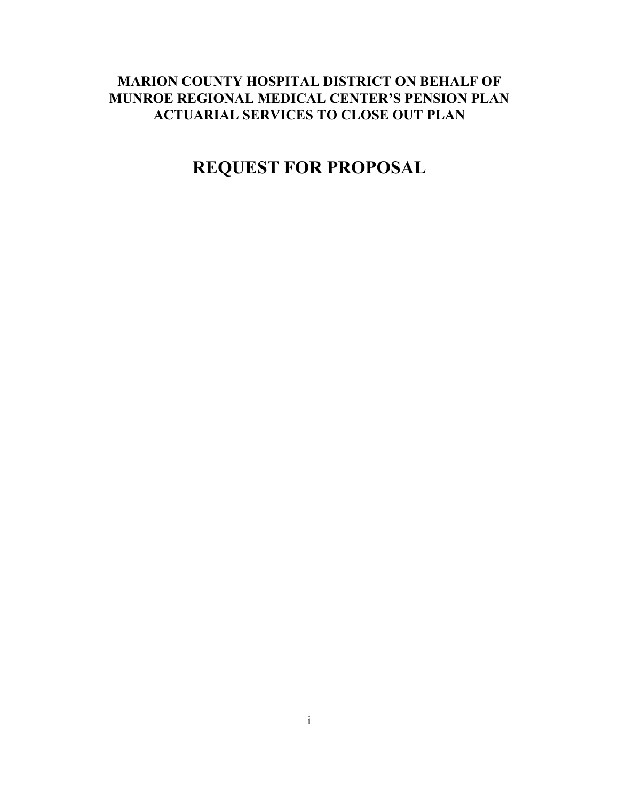# **MARION COUNTY HOSPITAL DISTRICT ON BEHALF OF MUNROE REGIONAL MEDICAL CENTER'S PENSION PLAN ACTUARIAL SERVICES TO CLOSE OUT PLAN**

# **REQUEST FOR PROPOSAL**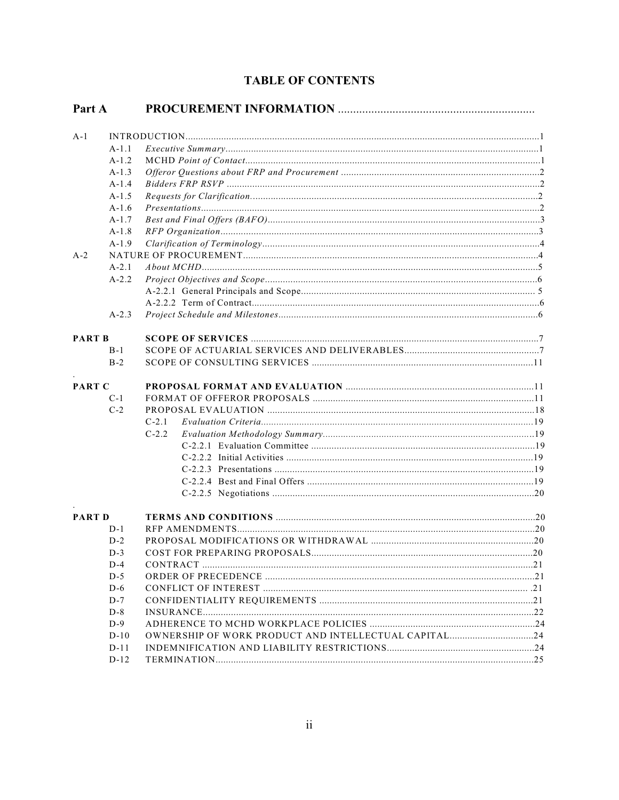|  | <b>TABLE OF CONTENTS</b> |
|--|--------------------------|
|--|--------------------------|

| Part A        |           |                                                      |  |
|---------------|-----------|------------------------------------------------------|--|
| $A-1$         |           |                                                      |  |
|               | $A-1.1$   |                                                      |  |
|               | $A-1.2$   |                                                      |  |
|               | $A-1.3$   |                                                      |  |
|               | $A-1.4$   |                                                      |  |
|               | $A-1.5$   |                                                      |  |
|               | $A-1.6$   |                                                      |  |
|               | $A-1.7$   |                                                      |  |
|               | $A-1.8$   |                                                      |  |
|               | $A-1.9$   |                                                      |  |
| $A-2$         |           |                                                      |  |
|               | $A-2.1$   |                                                      |  |
|               | $A - 2.2$ |                                                      |  |
|               |           |                                                      |  |
|               |           |                                                      |  |
|               | $A-2.3$   |                                                      |  |
|               |           |                                                      |  |
| <b>PART B</b> |           |                                                      |  |
|               | $B-1$     |                                                      |  |
|               | $B-2$     |                                                      |  |
|               |           |                                                      |  |
| PART C        |           |                                                      |  |
|               | $C-1$     |                                                      |  |
|               | $C-2$     |                                                      |  |
|               |           |                                                      |  |
|               |           | $C-2.1$                                              |  |
|               |           | $C-2.2$                                              |  |
|               |           |                                                      |  |
|               |           |                                                      |  |
|               |           |                                                      |  |
|               |           |                                                      |  |
|               |           |                                                      |  |
| <b>PART D</b> |           |                                                      |  |
|               | $D-1$     |                                                      |  |
|               | $D-2$     |                                                      |  |
|               | $D-3$     |                                                      |  |
|               | $D-4$     |                                                      |  |
|               | $D-5$     |                                                      |  |
|               | $D-6$     |                                                      |  |
|               | $D-7$     |                                                      |  |
|               | $D-8$     |                                                      |  |
|               | $D-9$     |                                                      |  |
|               |           |                                                      |  |
|               | $D-10$    | OWNERSHIP OF WORK PRODUCT AND INTELLECTUAL CAPITAL24 |  |
|               | $D-11$    |                                                      |  |
|               | $D-12$    |                                                      |  |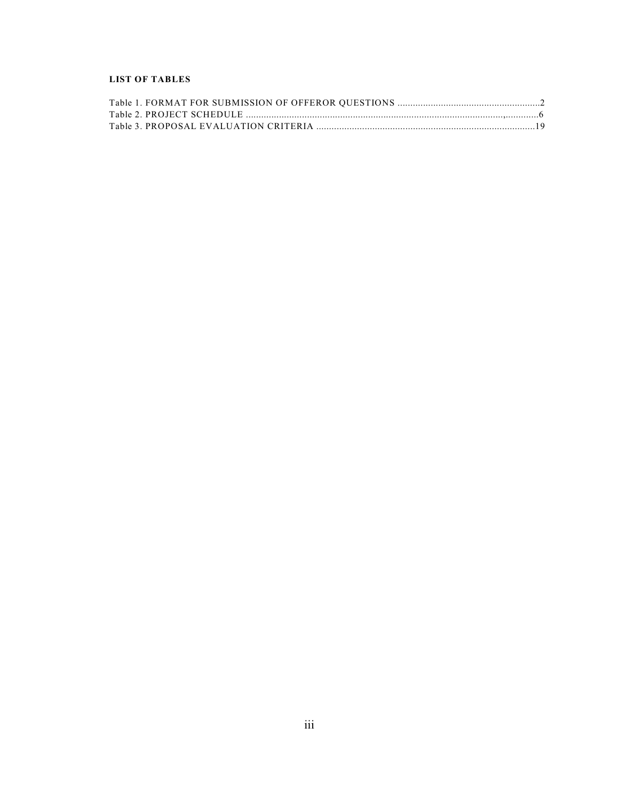#### **LIST OF TABLES**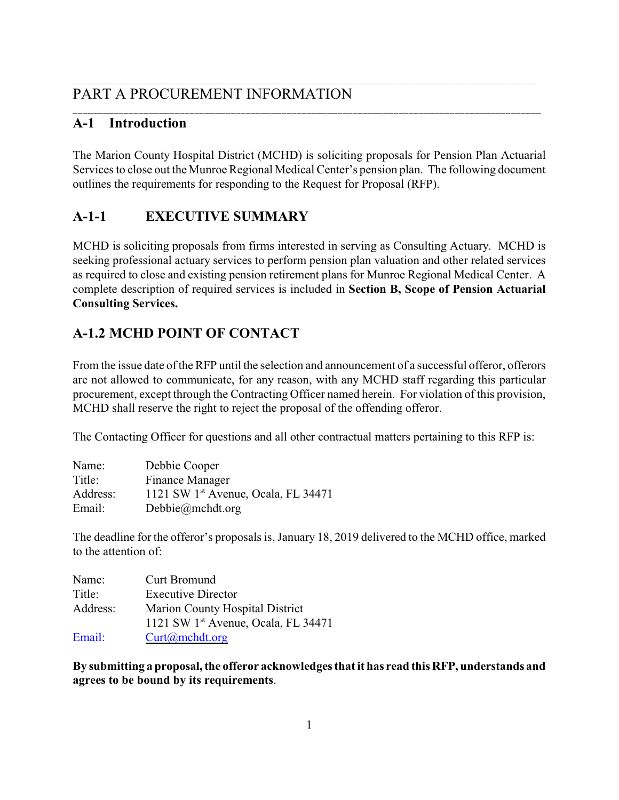#### \_\_\_\_\_\_\_\_\_\_\_\_\_\_\_\_\_\_\_\_\_\_\_\_\_\_\_\_\_\_\_\_\_\_\_\_\_\_\_\_\_\_\_\_\_\_\_\_\_\_\_\_\_\_\_\_\_\_\_\_\_\_\_\_\_\_\_\_\_\_\_\_\_\_\_\_\_\_\_\_\_\_\_\_\_\_\_\_\_\_\_ PART A PROCUREMENT INFORMATION

# **A-1 Introduction**

The Marion County Hospital District (MCHD) is soliciting proposals for Pension Plan Actuarial Services to close out the Munroe Regional Medical Center's pension plan. The following document outlines the requirements for responding to the Request for Proposal (RFP).

\_\_\_\_\_\_\_\_\_\_\_\_\_\_\_\_\_\_\_\_\_\_\_\_\_\_\_\_\_\_\_\_\_\_\_\_\_\_\_\_\_\_\_\_\_\_\_\_\_\_\_\_\_\_\_\_\_\_\_\_\_\_\_\_\_\_\_\_\_\_\_\_\_\_\_\_\_\_\_\_\_\_\_\_\_\_\_\_\_\_\_\_

# **A-1-1 EXECUTIVE SUMMARY**

MCHD is soliciting proposals from firms interested in serving as Consulting Actuary. MCHD is seeking professional actuary services to perform pension plan valuation and other related services as required to close and existing pension retirement plans for Munroe Regional Medical Center. A complete description of required services is included in **Section B, Scope of Pension Actuarial Consulting Services.** 

# **A-1.2 MCHD POINT OF CONTACT**

From the issue date of the RFP until the selection and announcement of a successful offeror, offerors are not allowed to communicate, for any reason, with any MCHD staff regarding this particular procurement, except through the Contracting Officer named herein. For violation of this provision, MCHD shall reserve the right to reject the proposal of the offending offeror.

The Contacting Officer for questions and all other contractual matters pertaining to this RFP is:

| Name:    | Debbie Cooper                         |
|----------|---------------------------------------|
| Title:   | Finance Manager                       |
| Address: | 1121 SW $1st$ Avenue, Ocala, FL 34471 |
| Email:   | Debbie@mchdt.org                      |

The deadline for the offeror's proposals is, January 18, 2019 delivered to the MCHD office, marked to the attention of:

| Name:    | <b>Curt Bromund</b>                             |
|----------|-------------------------------------------------|
| Title:   | <b>Executive Director</b>                       |
| Address: | <b>Marion County Hospital District</b>          |
|          | 1121 SW 1 <sup>st</sup> Avenue, Ocala, FL 34471 |
| Email:   | $Curt(a)$ mchdt.org                             |

**By submitting a proposal, the offeror acknowledges thatit has read this RFP, understands and agrees to be bound by its requirements**.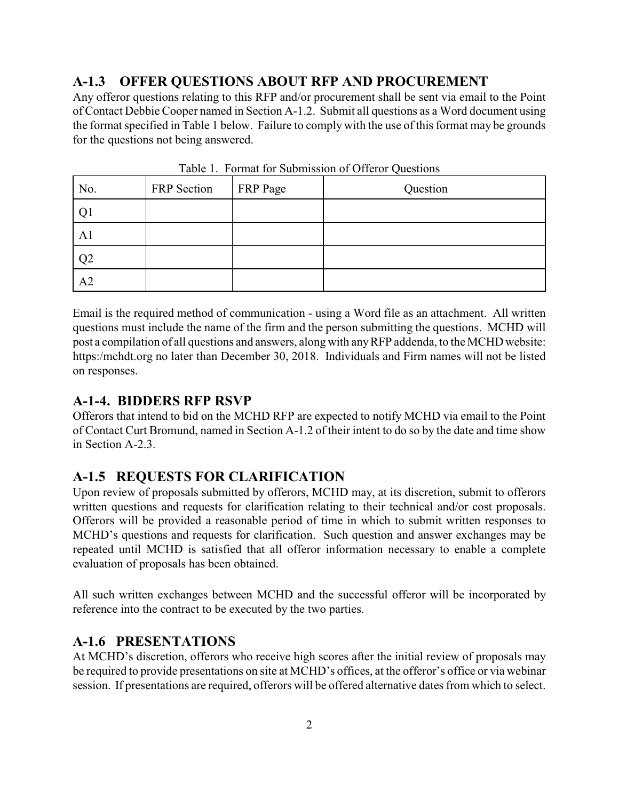# **A-1.3 OFFER QUESTIONS ABOUT RFP AND PROCUREMENT**

Any offeror questions relating to this RFP and/or procurement shall be sent via email to the Point of Contact Debbie Cooper named in Section A-1.2. Submit all questions as a Word document using the format specified in Table 1 below. Failure to comply with the use of this format may be grounds for the questions not being answered.

| No.            | FRP Section | <b>FRP</b> Page | Question |
|----------------|-------------|-----------------|----------|
|                |             |                 |          |
| A1             |             |                 |          |
| Q <sub>2</sub> |             |                 |          |
| A <sub>2</sub> |             |                 |          |

Table 1. Format for Submission of Offeror Questions

Email is the required method of communication - using a Word file as an attachment. All written questions must include the name of the firm and the person submitting the questions. MCHD will post a compilation of all questions and answers, along with anyRFP addenda, to the MCHD website: https:/mchdt.org no later than December 30, 2018. Individuals and Firm names will not be listed on responses.

### **A-1-4. BIDDERS RFP RSVP**

Offerors that intend to bid on the MCHD RFP are expected to notify MCHD via email to the Point of Contact Curt Bromund, named in Section A-1.2 of their intent to do so by the date and time show in Section A-2.3.

### **A-1.5 REQUESTS FOR CLARIFICATION**

Upon review of proposals submitted by offerors, MCHD may, at its discretion, submit to offerors written questions and requests for clarification relating to their technical and/or cost proposals. Offerors will be provided a reasonable period of time in which to submit written responses to MCHD's questions and requests for clarification. Such question and answer exchanges may be repeated until MCHD is satisfied that all offeror information necessary to enable a complete evaluation of proposals has been obtained.

All such written exchanges between MCHD and the successful offeror will be incorporated by reference into the contract to be executed by the two parties.

### **A-1.6 PRESENTATIONS**

At MCHD's discretion, offerors who receive high scores after the initial review of proposals may be required to provide presentations on site at MCHD's offices, at the offeror's office or via webinar session. If presentations are required, offerors will be offered alternative dates from which to select.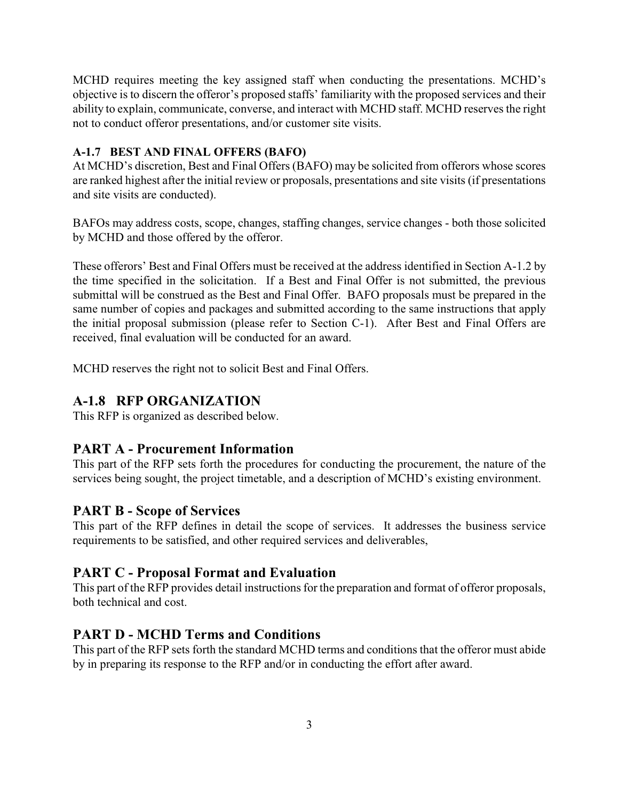MCHD requires meeting the key assigned staff when conducting the presentations. MCHD's objective is to discern the offeror's proposed staffs' familiarity with the proposed services and their ability to explain, communicate, converse, and interact with MCHD staff. MCHD reserves the right not to conduct offeror presentations, and/or customer site visits.

#### **A-1.7 BEST AND FINAL OFFERS (BAFO)**

At MCHD's discretion, Best and Final Offers (BAFO) may be solicited from offerors whose scores are ranked highest after the initial review or proposals, presentations and site visits (if presentations and site visits are conducted).

BAFOs may address costs, scope, changes, staffing changes, service changes - both those solicited by MCHD and those offered by the offeror.

These offerors' Best and Final Offers must be received at the address identified in Section A-1.2 by the time specified in the solicitation. If a Best and Final Offer is not submitted, the previous submittal will be construed as the Best and Final Offer. BAFO proposals must be prepared in the same number of copies and packages and submitted according to the same instructions that apply the initial proposal submission (please refer to Section C-1). After Best and Final Offers are received, final evaluation will be conducted for an award.

MCHD reserves the right not to solicit Best and Final Offers.

### **A-1.8 RFP ORGANIZATION**

This RFP is organized as described below.

### **PART A - Procurement Information**

This part of the RFP sets forth the procedures for conducting the procurement, the nature of the services being sought, the project timetable, and a description of MCHD's existing environment.

### **PART B - Scope of Services**

This part of the RFP defines in detail the scope of services. It addresses the business service requirements to be satisfied, and other required services and deliverables,

### **PART C - Proposal Format and Evaluation**

This part of the RFP provides detail instructions for the preparation and format of offeror proposals, both technical and cost.

### **PART D - MCHD Terms and Conditions**

This part of the RFP sets forth the standard MCHD terms and conditions that the offeror must abide by in preparing its response to the RFP and/or in conducting the effort after award.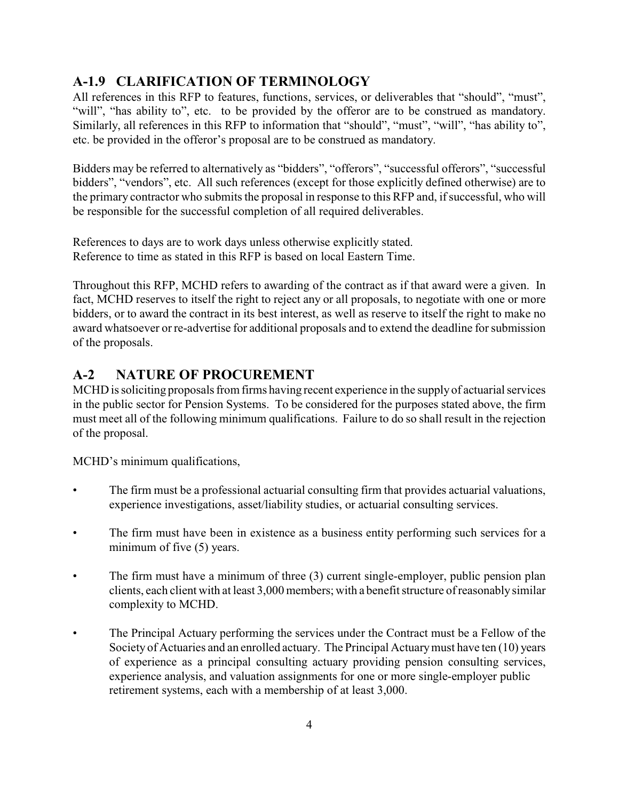# **A-1.9 CLARIFICATION OF TERMINOLOGY**

All references in this RFP to features, functions, services, or deliverables that "should", "must", "will", "has ability to", etc. to be provided by the offeror are to be construed as mandatory. Similarly, all references in this RFP to information that "should", "must", "will", "has ability to", etc. be provided in the offeror's proposal are to be construed as mandatory.

Bidders may be referred to alternatively as "bidders", "offerors", "successful offerors", "successful bidders", "vendors", etc. All such references (except for those explicitly defined otherwise) are to the primary contractor who submits the proposal in response to this RFP and, if successful, who will be responsible for the successful completion of all required deliverables.

References to days are to work days unless otherwise explicitly stated. Reference to time as stated in this RFP is based on local Eastern Time.

Throughout this RFP, MCHD refers to awarding of the contract as if that award were a given. In fact, MCHD reserves to itself the right to reject any or all proposals, to negotiate with one or more bidders, or to award the contract in its best interest, as well as reserve to itself the right to make no award whatsoever or re-advertise for additional proposals and to extend the deadline for submission of the proposals.

### **A-2 NATURE OF PROCUREMENT**

MCHD is soliciting proposals from firms having recent experience in the supply of actuarial services in the public sector for Pension Systems. To be considered for the purposes stated above, the firm must meet all of the following minimum qualifications. Failure to do so shall result in the rejection of the proposal.

MCHD's minimum qualifications,

- The firm must be a professional actuarial consulting firm that provides actuarial valuations, experience investigations, asset/liability studies, or actuarial consulting services.
- The firm must have been in existence as a business entity performing such services for a minimum of five (5) years.
- The firm must have a minimum of three (3) current single-employer, public pension plan clients, each client with at least 3,000 members; with a benefit structure of reasonably similar complexity to MCHD.
- The Principal Actuary performing the services under the Contract must be a Fellow of the Society of Actuaries and an enrolled actuary. The Principal Actuary must have ten (10) years of experience as a principal consulting actuary providing pension consulting services, experience analysis, and valuation assignments for one or more single-employer public retirement systems, each with a membership of at least 3,000.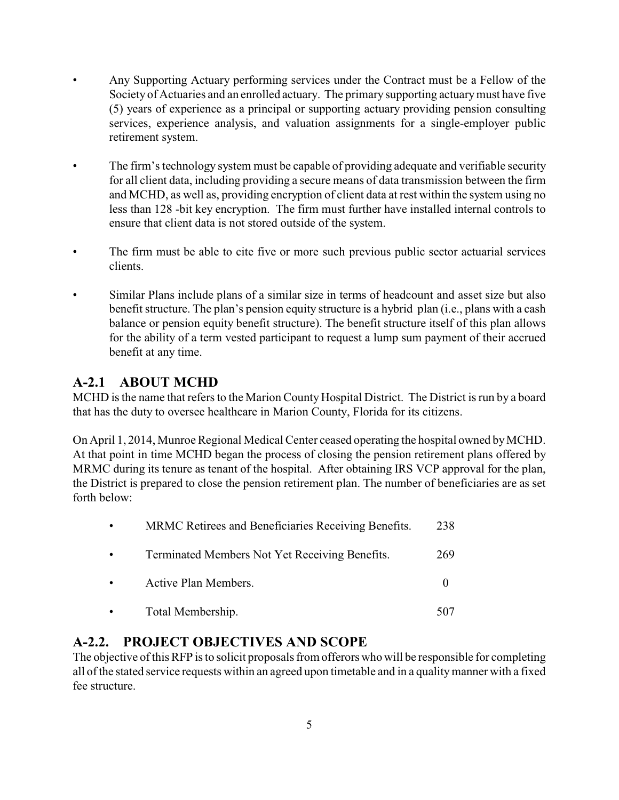- Any Supporting Actuary performing services under the Contract must be a Fellow of the Society of Actuaries and an enrolled actuary. The primary supporting actuary must have five (5) years of experience as a principal or supporting actuary providing pension consulting services, experience analysis, and valuation assignments for a single-employer public retirement system.
- The firm's technology system must be capable of providing adequate and verifiable security for all client data, including providing a secure means of data transmission between the firm and MCHD, as well as, providing encryption of client data at rest within the system using no less than 128 -bit key encryption. The firm must further have installed internal controls to ensure that client data is not stored outside of the system.
- The firm must be able to cite five or more such previous public sector actuarial services clients.
- Similar Plans include plans of a similar size in terms of headcount and asset size but also benefit structure. The plan's pension equity structure is a hybrid plan (i.e., plans with a cash balance or pension equity benefit structure). The benefit structure itself of this plan allows for the ability of a term vested participant to request a lump sum payment of their accrued benefit at any time.

# **A-2.1 ABOUT MCHD**

MCHD is the name that refers to the Marion County Hospital District. The District is run by a board that has the duty to oversee healthcare in Marion County, Florida for its citizens.

On April 1, 2014, Munroe Regional Medical Center ceased operating the hospital owned by MCHD. At that point in time MCHD began the process of closing the pension retirement plans offered by MRMC during its tenure as tenant of the hospital. After obtaining IRS VCP approval for the plan, the District is prepared to close the pension retirement plan. The number of beneficiaries are as set forth below:

|           | MRMC Retirees and Beneficiaries Receiving Benefits. | 238 |
|-----------|-----------------------------------------------------|-----|
| $\bullet$ | Terminated Members Not Yet Receiving Benefits.      | 269 |
| $\bullet$ | Active Plan Members.                                |     |
|           | Total Membership.                                   |     |

### **A-2.2. PROJECT OBJECTIVES AND SCOPE**

The objective of this RFP is to solicit proposals from offerors who will be responsible for completing all of the stated service requests within an agreed upon timetable and in a qualitymanner with a fixed fee structure.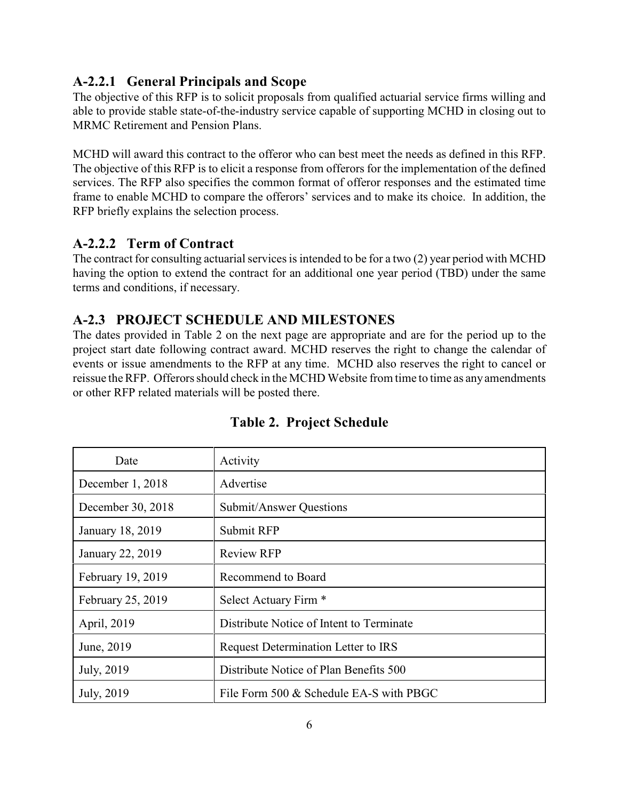### **A-2.2.1 General Principals and Scope**

The objective of this RFP is to solicit proposals from qualified actuarial service firms willing and able to provide stable state-of-the-industry service capable of supporting MCHD in closing out to MRMC Retirement and Pension Plans.

MCHD will award this contract to the offeror who can best meet the needs as defined in this RFP. The objective of this RFP is to elicit a response from offerors for the implementation of the defined services. The RFP also specifies the common format of offeror responses and the estimated time frame to enable MCHD to compare the offerors' services and to make its choice. In addition, the RFP briefly explains the selection process.

### **A-2.2.2 Term of Contract**

The contract for consulting actuarial services is intended to be for a two (2) year period with MCHD having the option to extend the contract for an additional one year period (TBD) under the same terms and conditions, if necessary.

# **A-2.3 PROJECT SCHEDULE AND MILESTONES**

The dates provided in Table 2 on the next page are appropriate and are for the period up to the project start date following contract award. MCHD reserves the right to change the calendar of events or issue amendments to the RFP at any time. MCHD also reserves the right to cancel or reissue the RFP. Offerors should check in the MCHD Website from time to time as any amendments or other RFP related materials will be posted there.

| Date              | Activity                                 |  |
|-------------------|------------------------------------------|--|
| December 1, 2018  | Advertise                                |  |
| December 30, 2018 | Submit/Answer Questions                  |  |
| January 18, 2019  | Submit RFP                               |  |
| January 22, 2019  | <b>Review RFP</b>                        |  |
| February 19, 2019 | Recommend to Board                       |  |
| February 25, 2019 | Select Actuary Firm *                    |  |
| April, 2019       | Distribute Notice of Intent to Terminate |  |
| June, 2019        | Request Determination Letter to IRS      |  |
| July, 2019        | Distribute Notice of Plan Benefits 500   |  |
| July, 2019        | File Form 500 & Schedule EA-S with PBGC  |  |

# **Table 2. Project Schedule**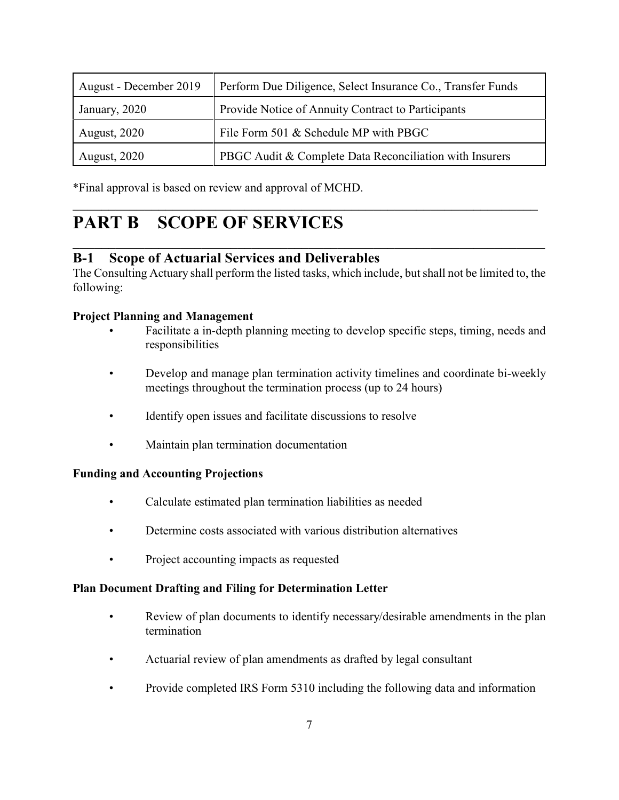| August - December 2019 | Perform Due Diligence, Select Insurance Co., Transfer Funds |  |
|------------------------|-------------------------------------------------------------|--|
| January, 2020          | Provide Notice of Annuity Contract to Participants          |  |
| <b>August, 2020</b>    | File Form 501 & Schedule MP with PBGC                       |  |
| <b>August, 2020</b>    | PBGC Audit & Complete Data Reconciliation with Insurers     |  |

 $\frac{1}{2}$  ,  $\frac{1}{2}$  ,  $\frac{1}{2}$  ,  $\frac{1}{2}$  ,  $\frac{1}{2}$  ,  $\frac{1}{2}$  ,  $\frac{1}{2}$  ,  $\frac{1}{2}$  ,  $\frac{1}{2}$  ,  $\frac{1}{2}$  ,  $\frac{1}{2}$  ,  $\frac{1}{2}$  ,  $\frac{1}{2}$  ,  $\frac{1}{2}$  ,  $\frac{1}{2}$  ,  $\frac{1}{2}$  ,  $\frac{1}{2}$  ,  $\frac{1}{2}$  ,  $\frac{1$ 

\*Final approval is based on review and approval of MCHD.

# **PART B SCOPE OF SERVICES**

### **B-1 Scope of Actuarial Services and Deliverables**

The Consulting Actuary shall perform the listed tasks, which include, but shall not be limited to, the following:

**\_\_\_\_\_\_\_\_\_\_\_\_\_\_\_\_\_\_\_\_\_\_\_\_\_\_\_\_\_\_\_\_\_\_\_\_\_\_\_\_\_\_\_\_\_\_\_\_\_\_\_\_\_\_\_\_\_\_\_\_\_\_\_\_\_\_**

#### **Project Planning and Management**

- Facilitate a in-depth planning meeting to develop specific steps, timing, needs and responsibilities
- Develop and manage plan termination activity timelines and coordinate bi-weekly meetings throughout the termination process (up to 24 hours)
- Identify open issues and facilitate discussions to resolve
- Maintain plan termination documentation

#### **Funding and Accounting Projections**

- Calculate estimated plan termination liabilities as needed
- Determine costs associated with various distribution alternatives
- Project accounting impacts as requested

#### **Plan Document Drafting and Filing for Determination Letter**

- Review of plan documents to identify necessary/desirable amendments in the plan termination
- Actuarial review of plan amendments as drafted by legal consultant
- Provide completed IRS Form 5310 including the following data and information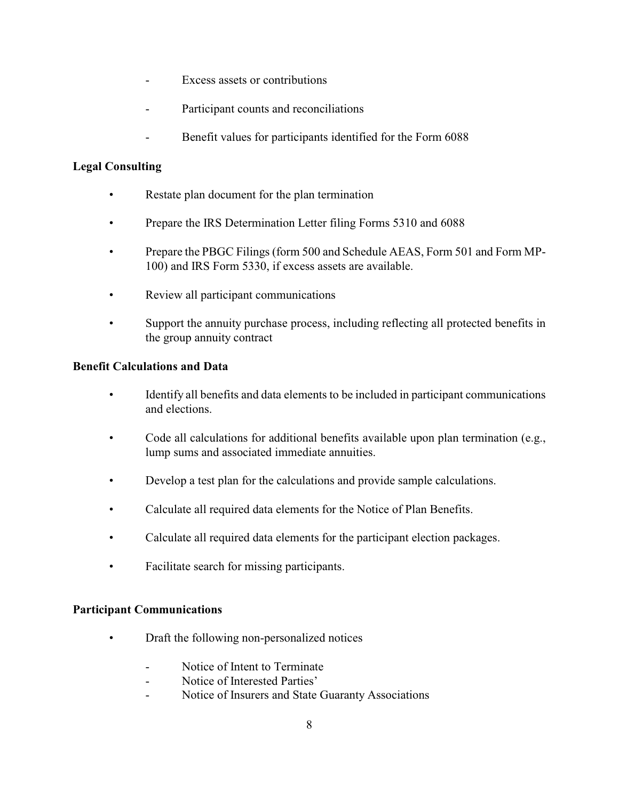- Excess assets or contributions
- Participant counts and reconciliations
- Benefit values for participants identified for the Form 6088

### **Legal Consulting**

- Restate plan document for the plan termination
- Prepare the IRS Determination Letter filing Forms 5310 and 6088
- Prepare the PBGC Filings (form 500 and Schedule AEAS, Form 501 and Form MP-100) and IRS Form 5330, if excess assets are available.
- Review all participant communications
- Support the annuity purchase process, including reflecting all protected benefits in the group annuity contract

#### **Benefit Calculations and Data**

- Identify all benefits and data elements to be included in participant communications and elections.
- Code all calculations for additional benefits available upon plan termination (e.g., lump sums and associated immediate annuities.
- Develop a test plan for the calculations and provide sample calculations.
- Calculate all required data elements for the Notice of Plan Benefits.
- Calculate all required data elements for the participant election packages.
- Facilitate search for missing participants.

#### **Participant Communications**

- Draft the following non-personalized notices
	- Notice of Intent to Terminate
	- Notice of Interested Parties'
	- Notice of Insurers and State Guaranty Associations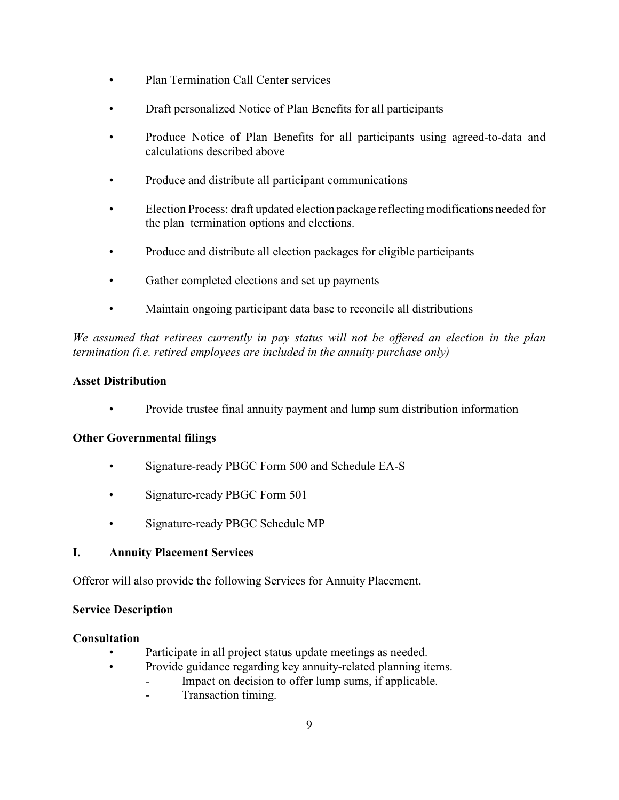- Plan Termination Call Center services
- Draft personalized Notice of Plan Benefits for all participants
- Produce Notice of Plan Benefits for all participants using agreed-to-data and calculations described above
- Produce and distribute all participant communications
- Election Process: draft updated election package reflecting modifications needed for the plan termination options and elections.
- Produce and distribute all election packages for eligible participants
- Gather completed elections and set up payments
- Maintain ongoing participant data base to reconcile all distributions

*We assumed that retirees currently in pay status will not be offered an election in the plan termination (i.e. retired employees are included in the annuity purchase only)*

#### **Asset Distribution**

• Provide trustee final annuity payment and lump sum distribution information

#### **Other Governmental filings**

- Signature-ready PBGC Form 500 and Schedule EA-S
- Signature-ready PBGC Form 501
- Signature-ready PBGC Schedule MP

#### **I. Annuity Placement Services**

Offeror will also provide the following Services for Annuity Placement.

#### **Service Description**

#### **Consultation**

- Participate in all project status update meetings as needed.
- Provide guidance regarding key annuity-related planning items.
	- Impact on decision to offer lump sums, if applicable.
		- Transaction timing.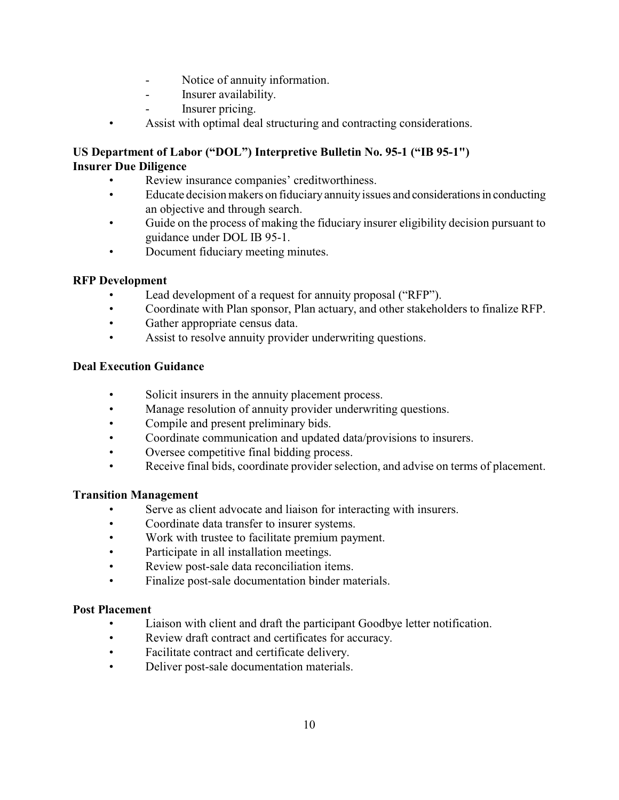- Notice of annuity information.
- Insurer availability.
- Insurer pricing.
- Assist with optimal deal structuring and contracting considerations.

### **US Department of Labor ("DOL") Interpretive Bulletin No. 95-1 ("IB 95-1") Insurer Due Diligence**

- Review insurance companies' creditworthiness.
- Educate decision makers on fiduciary annuity issues and considerations in conducting an objective and through search.
- Guide on the process of making the fiduciary insurer eligibility decision pursuant to guidance under DOL IB 95-1.
- Document fiduciary meeting minutes.

#### **RFP Development**

- Lead development of a request for annuity proposal ("RFP").
- Coordinate with Plan sponsor, Plan actuary, and other stakeholders to finalize RFP.
- Gather appropriate census data.
- Assist to resolve annuity provider underwriting questions.

#### **Deal Execution Guidance**

- Solicit insurers in the annuity placement process.
- Manage resolution of annuity provider underwriting questions.
- Compile and present preliminary bids.
- Coordinate communication and updated data/provisions to insurers.
- Oversee competitive final bidding process.
- Receive final bids, coordinate provider selection, and advise on terms of placement.

#### **Transition Management**

- Serve as client advocate and liaison for interacting with insurers.
- Coordinate data transfer to insurer systems.
- Work with trustee to facilitate premium payment.
- Participate in all installation meetings.
- Review post-sale data reconciliation items.
- Finalize post-sale documentation binder materials.

#### **Post Placement**

- Liaison with client and draft the participant Goodbye letter notification.
- Review draft contract and certificates for accuracy.
- Facilitate contract and certificate delivery.
- Deliver post-sale documentation materials.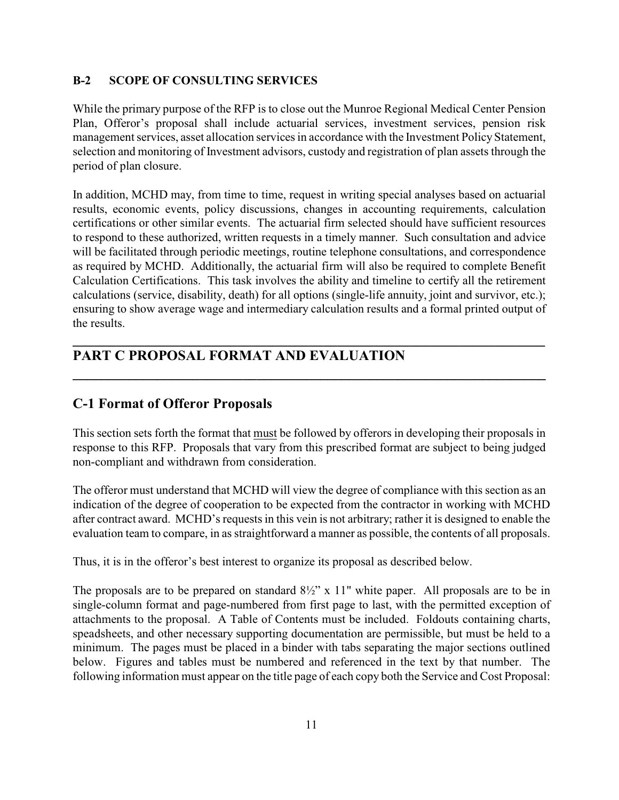#### **B-2 SCOPE OF CONSULTING SERVICES**

While the primary purpose of the RFP is to close out the Munroe Regional Medical Center Pension Plan, Offeror's proposal shall include actuarial services, investment services, pension risk management services, asset allocation services in accordance with the Investment Policy Statement, selection and monitoring of Investment advisors, custody and registration of plan assets through the period of plan closure.

In addition, MCHD may, from time to time, request in writing special analyses based on actuarial results, economic events, policy discussions, changes in accounting requirements, calculation certifications or other similar events. The actuarial firm selected should have sufficient resources to respond to these authorized, written requests in a timely manner. Such consultation and advice will be facilitated through periodic meetings, routine telephone consultations, and correspondence as required by MCHD. Additionally, the actuarial firm will also be required to complete Benefit Calculation Certifications. This task involves the ability and timeline to certify all the retirement calculations (service, disability, death) for all options (single-life annuity, joint and survivor, etc.); ensuring to show average wage and intermediary calculation results and a formal printed output of the results.

**\_\_\_\_\_\_\_\_\_\_\_\_\_\_\_\_\_\_\_\_\_\_\_\_\_\_\_\_\_\_\_\_\_\_\_\_\_\_\_\_\_\_\_\_\_\_\_\_\_\_\_\_\_\_\_\_\_\_\_\_\_\_\_\_\_\_**

**\_\_\_\_\_\_\_\_\_\_\_\_\_\_\_\_\_\_\_\_\_\_\_\_\_\_\_\_\_\_\_\_\_\_\_\_\_\_\_\_\_\_\_\_\_\_\_\_\_\_\_\_\_\_\_\_\_\_\_\_\_\_\_\_\_\_\_**

### **PART C PROPOSAL FORMAT AND EVALUATION**

### **C-1 Format of Offeror Proposals**

This section sets forth the format that must be followed by offerors in developing their proposals in response to this RFP. Proposals that vary from this prescribed format are subject to being judged non-compliant and withdrawn from consideration.

The offeror must understand that MCHD will view the degree of compliance with this section as an indication of the degree of cooperation to be expected from the contractor in working with MCHD after contract award. MCHD's requests in this vein is not arbitrary; rather it is designed to enable the evaluation team to compare, in as straightforward a manner as possible, the contents of all proposals.

Thus, it is in the offeror's best interest to organize its proposal as described below.

The proposals are to be prepared on standard  $8\frac{1}{2}$ " x 11" white paper. All proposals are to be in single-column format and page-numbered from first page to last, with the permitted exception of attachments to the proposal. A Table of Contents must be included. Foldouts containing charts, speadsheets, and other necessary supporting documentation are permissible, but must be held to a minimum. The pages must be placed in a binder with tabs separating the major sections outlined below. Figures and tables must be numbered and referenced in the text by that number. The following information must appear on the title page of each copy both the Service and Cost Proposal: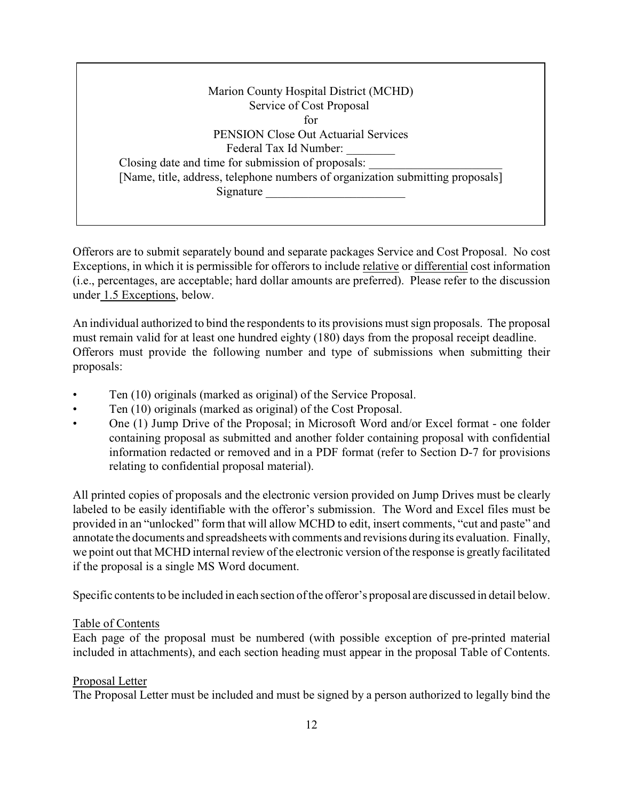Marion County Hospital District (MCHD) Service of Cost Proposal for PENSION Close Out Actuarial Services Federal Tax Id Number: Closing date and time for submission of proposals: [Name, title, address, telephone numbers of organization submitting proposals] Signature \_\_\_\_\_\_\_\_\_\_\_\_\_\_\_\_\_\_\_\_\_\_\_

Offerors are to submit separately bound and separate packages Service and Cost Proposal. No cost Exceptions, in which it is permissible for offerors to include relative or differential cost information (i.e., percentages, are acceptable; hard dollar amounts are preferred). Please refer to the discussion under 1.5 Exceptions, below.

An individual authorized to bind the respondents to its provisions must sign proposals. The proposal must remain valid for at least one hundred eighty (180) days from the proposal receipt deadline. Offerors must provide the following number and type of submissions when submitting their proposals:

- Ten (10) originals (marked as original) of the Service Proposal.
- Ten (10) originals (marked as original) of the Cost Proposal.
- One (1) Jump Drive of the Proposal; in Microsoft Word and/or Excel format one folder containing proposal as submitted and another folder containing proposal with confidential information redacted or removed and in a PDF format (refer to Section D-7 for provisions relating to confidential proposal material).

All printed copies of proposals and the electronic version provided on Jump Drives must be clearly labeled to be easily identifiable with the offeror's submission. The Word and Excel files must be provided in an "unlocked" form that will allow MCHD to edit, insert comments, "cut and paste" and annotate the documents and spreadsheets with comments and revisions during its evaluation. Finally, we point out that MCHD internal review of the electronic version of the response is greatly facilitated if the proposal is a single MS Word document.

Specific contents to be included in each section of the offeror's proposal are discussed in detail below.

#### Table of Contents

Each page of the proposal must be numbered (with possible exception of pre-printed material included in attachments), and each section heading must appear in the proposal Table of Contents.

#### Proposal Letter

The Proposal Letter must be included and must be signed by a person authorized to legally bind the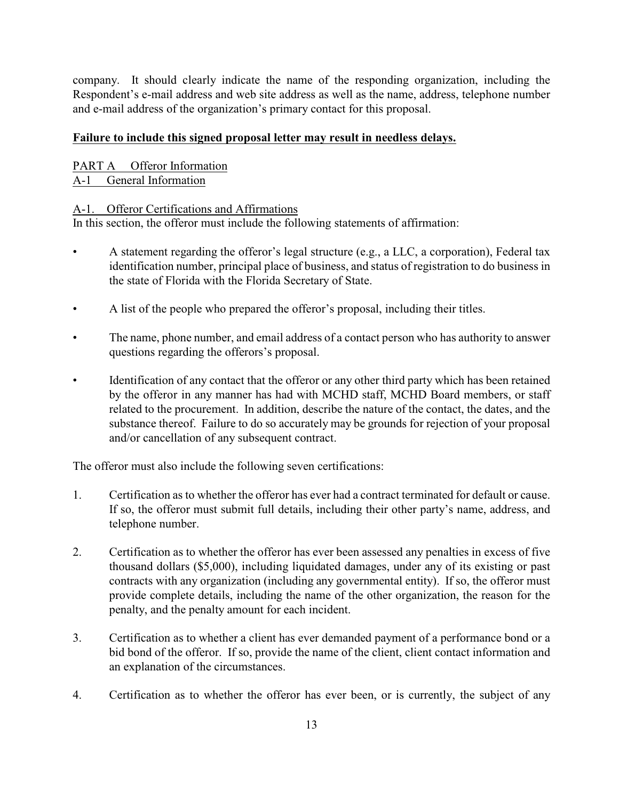company. It should clearly indicate the name of the responding organization, including the Respondent's e-mail address and web site address as well as the name, address, telephone number and e-mail address of the organization's primary contact for this proposal.

#### **Failure to include this signed proposal letter may result in needless delays.**

PART A Offeror Information A-1 General Information

#### A-1. Offeror Certifications and Affirmations

In this section, the offeror must include the following statements of affirmation:

- A statement regarding the offeror's legal structure (e.g., a LLC, a corporation), Federal tax identification number, principal place of business, and status of registration to do business in the state of Florida with the Florida Secretary of State.
- A list of the people who prepared the offeror's proposal, including their titles.
- The name, phone number, and email address of a contact person who has authority to answer questions regarding the offerors's proposal.
- Identification of any contact that the offeror or any other third party which has been retained by the offeror in any manner has had with MCHD staff, MCHD Board members, or staff related to the procurement. In addition, describe the nature of the contact, the dates, and the substance thereof. Failure to do so accurately may be grounds for rejection of your proposal and/or cancellation of any subsequent contract.

The offeror must also include the following seven certifications:

- 1. Certification as to whether the offeror has ever had a contract terminated for default or cause. If so, the offeror must submit full details, including their other party's name, address, and telephone number.
- 2. Certification as to whether the offeror has ever been assessed any penalties in excess of five thousand dollars (\$5,000), including liquidated damages, under any of its existing or past contracts with any organization (including any governmental entity). If so, the offeror must provide complete details, including the name of the other organization, the reason for the penalty, and the penalty amount for each incident.
- 3. Certification as to whether a client has ever demanded payment of a performance bond or a bid bond of the offeror. If so, provide the name of the client, client contact information and an explanation of the circumstances.
- 4. Certification as to whether the offeror has ever been, or is currently, the subject of any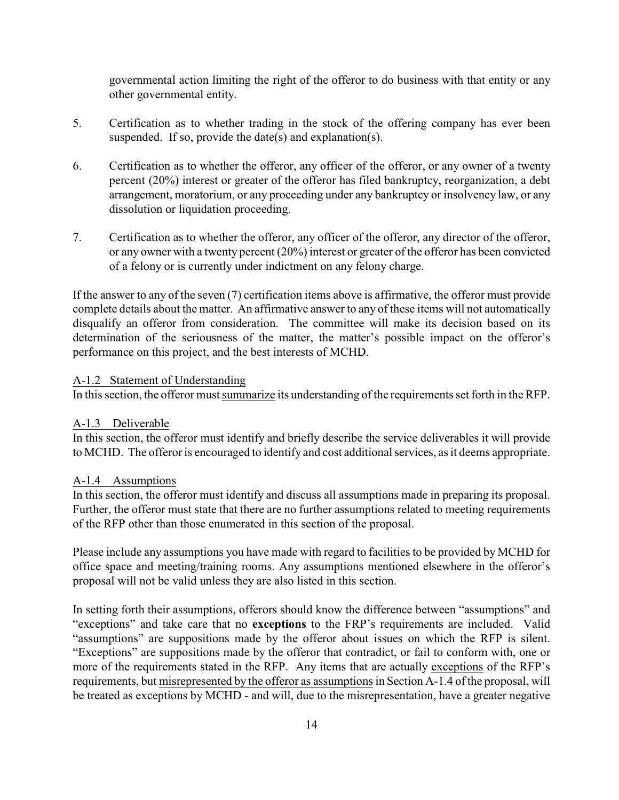governmental action limiting the right of the offeror to do business with that entity or any other governmental entity.

- 5. Certification as to whether trading in the stock of the offering company has ever been suspended. If so, provide the date(s) and explanation(s).
- 6. Certification as to whether the offeror, any officer of the offeror, or any owner of a twenty percent (20%) interest or greater of the offeror has filed bankruptcy, reorganization, a debt arrangement, moratorium, or any proceeding under any bankruptcy or insolvency law, or any dissolution or liquidation proceeding.
- 7. Certification as to whether the offeror, any officer of the offeror, any director of the offeror, or any owner with a twenty percent (20%) interest or greater of the offeror has been convicted of a felony or is currently under indictment on any felony charge.

If the answer to any of the seven (7) certification items above is affirmative, the offeror must provide complete details about the matter. An affirmative answer to any of these items will not automatically disqualify an offeror from consideration. The committee will make its decision based on its determination of the seriousness of the matter, the matter's possible impact on the offeror's performance on this project, and the best interests of MCHD.

#### A-1.2 Statement of Understanding

In this section, the offeror must summarize its understanding of the requirements set forth in the RFP.

#### A-1.3 Deliverable

In this section, the offeror must identify and briefly describe the service deliverables it will provide to MCHD. The offeror is encouraged to identify and cost additional services, as it deems appropriate.

#### A-1.4 Assumptions

In this section, the offeror must identify and discuss all assumptions made in preparing its proposal. Further, the offeror must state that there are no further assumptions related to meeting requirements of the RFP other than those enumerated in this section of the proposal.

Please include any assumptions you have made with regard to facilities to be provided by MCHD for office space and meeting/training rooms. Any assumptions mentioned elsewhere in the offeror's proposal will not be valid unless they are also listed in this section.

In setting forth their assumptions, offerors should know the difference between "assumptions" and "exceptions" and take care that no **exceptions** to the FRP's requirements are included. Valid "assumptions" are suppositions made by the offeror about issues on which the RFP is silent. "Exceptions" are suppositions made by the offeror that contradict, or fail to conform with, one or more of the requirements stated in the RFP. Any items that are actually exceptions of the RFP's requirements, but misrepresented by the offeror as assumptions in Section A-1.4 ofthe proposal, will be treated as exceptions by MCHD - and will, due to the misrepresentation, have a greater negative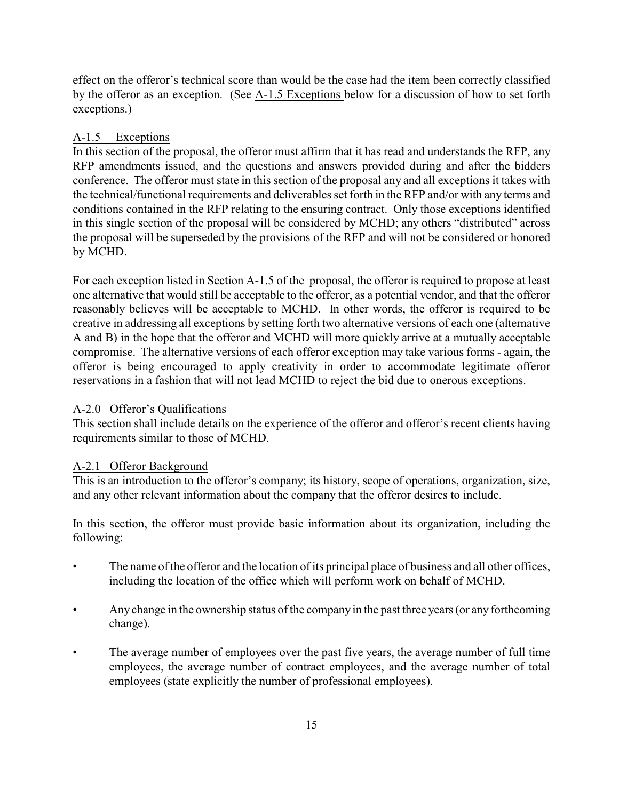effect on the offeror's technical score than would be the case had the item been correctly classified by the offeror as an exception. (See A-1.5 Exceptions below for a discussion of how to set forth exceptions.)

#### A-1.5 Exceptions

In this section of the proposal, the offeror must affirm that it has read and understands the RFP, any RFP amendments issued, and the questions and answers provided during and after the bidders conference. The offeror must state in this section of the proposal any and all exceptions it takes with the technical/functional requirements and deliverables set forth in the RFP and/or with any terms and conditions contained in the RFP relating to the ensuring contract. Only those exceptions identified in this single section of the proposal will be considered by MCHD; any others "distributed" across the proposal will be superseded by the provisions of the RFP and will not be considered or honored by MCHD.

For each exception listed in Section A-1.5 of the proposal, the offeror is required to propose at least one alternative that would still be acceptable to the offeror, as a potential vendor, and that the offeror reasonably believes will be acceptable to MCHD. In other words, the offeror is required to be creative in addressing all exceptions by setting forth two alternative versions of each one (alternative A and B) in the hope that the offeror and MCHD will more quickly arrive at a mutually acceptable compromise. The alternative versions of each offeror exception may take various forms - again, the offeror is being encouraged to apply creativity in order to accommodate legitimate offeror reservations in a fashion that will not lead MCHD to reject the bid due to onerous exceptions.

#### A-2.0 Offeror's Qualifications

This section shall include details on the experience of the offeror and offeror's recent clients having requirements similar to those of MCHD.

#### A-2.1 Offeror Background

This is an introduction to the offeror's company; its history, scope of operations, organization, size, and any other relevant information about the company that the offeror desires to include.

In this section, the offeror must provide basic information about its organization, including the following:

- The name of the offeror and the location of its principal place of business and all other offices, including the location of the office which will perform work on behalf of MCHD.
- Any change in the ownership status of the company in the past three years (or any forthcoming change).
- The average number of employees over the past five years, the average number of full time employees, the average number of contract employees, and the average number of total employees (state explicitly the number of professional employees).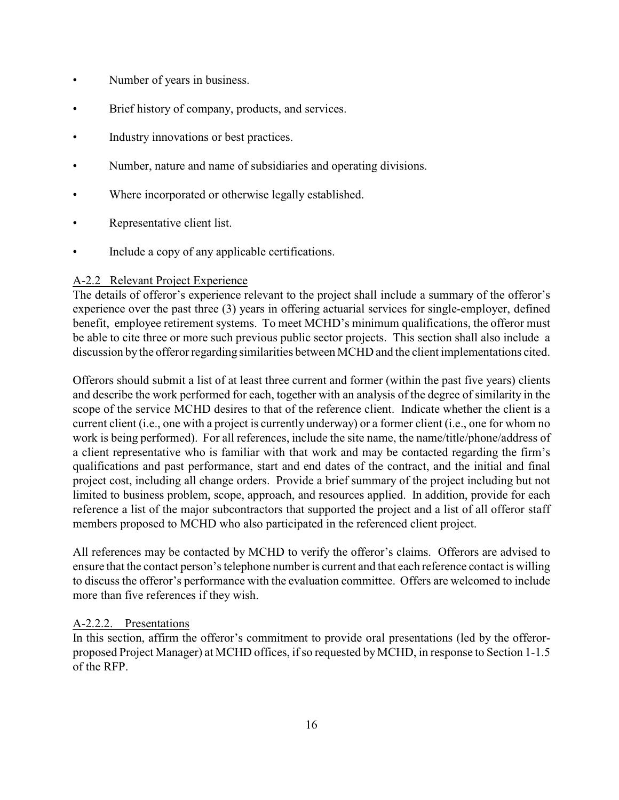- Number of years in business.
- Brief history of company, products, and services.
- Industry innovations or best practices.
- Number, nature and name of subsidiaries and operating divisions.
- Where incorporated or otherwise legally established.
- Representative client list.
- Include a copy of any applicable certifications.

#### A-2.2 Relevant Project Experience

The details of offeror's experience relevant to the project shall include a summary of the offeror's experience over the past three (3) years in offering actuarial services for single-employer, defined benefit, employee retirement systems. To meet MCHD's minimum qualifications, the offeror must be able to cite three or more such previous public sector projects. This section shall also include a discussion by the offeror regarding similarities between MCHD and the client implementations cited.

Offerors should submit a list of at least three current and former (within the past five years) clients and describe the work performed for each, together with an analysis of the degree of similarity in the scope of the service MCHD desires to that of the reference client. Indicate whether the client is a current client (i.e., one with a project is currently underway) or a former client (i.e., one for whom no work is being performed). For all references, include the site name, the name/title/phone/address of a client representative who is familiar with that work and may be contacted regarding the firm's qualifications and past performance, start and end dates of the contract, and the initial and final project cost, including all change orders. Provide a brief summary of the project including but not limited to business problem, scope, approach, and resources applied. In addition, provide for each reference a list of the major subcontractors that supported the project and a list of all offeror staff members proposed to MCHD who also participated in the referenced client project.

All references may be contacted by MCHD to verify the offeror's claims. Offerors are advised to ensure that the contact person's telephone number is current and that each reference contact is willing to discuss the offeror's performance with the evaluation committee. Offers are welcomed to include more than five references if they wish.

#### A-2.2.2. Presentations

In this section, affirm the offeror's commitment to provide oral presentations (led by the offerorproposed Project Manager) at MCHD offices, if so requested by MCHD, in response to Section 1-1.5 of the RFP.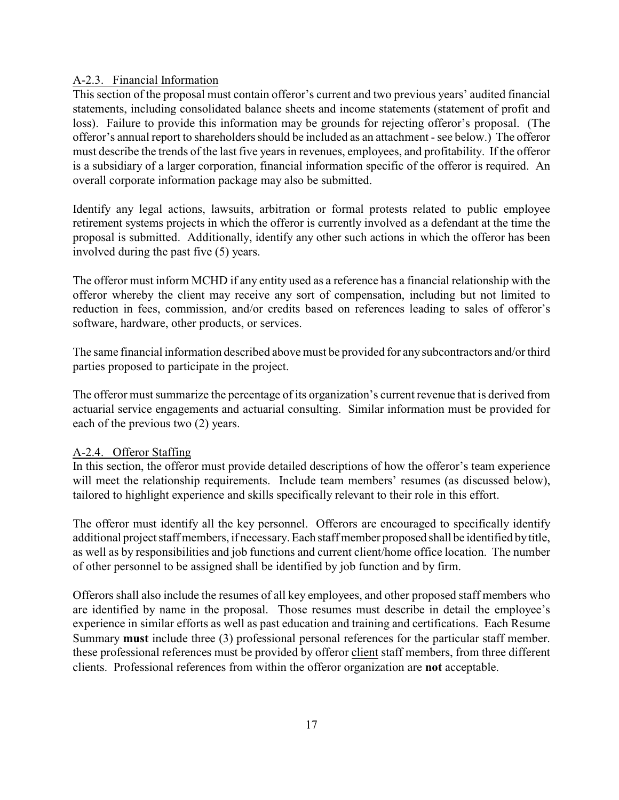#### A-2.3. Financial Information

This section of the proposal must contain offeror's current and two previous years' audited financial statements, including consolidated balance sheets and income statements (statement of profit and loss). Failure to provide this information may be grounds for rejecting offeror's proposal. (The offeror's annual report to shareholders should be included as an attachment - see below.) The offeror must describe the trends of the last five years in revenues, employees, and profitability. If the offeror is a subsidiary of a larger corporation, financial information specific of the offeror is required. An overall corporate information package may also be submitted.

Identify any legal actions, lawsuits, arbitration or formal protests related to public employee retirement systems projects in which the offeror is currently involved as a defendant at the time the proposal is submitted. Additionally, identify any other such actions in which the offeror has been involved during the past five (5) years.

The offeror must inform MCHD if any entity used as a reference has a financial relationship with the offeror whereby the client may receive any sort of compensation, including but not limited to reduction in fees, commission, and/or credits based on references leading to sales of offeror's software, hardware, other products, or services.

The same financial information described above must be provided for any subcontractors and/or third parties proposed to participate in the project.

The offeror must summarize the percentage of its organization's current revenue that is derived from actuarial service engagements and actuarial consulting. Similar information must be provided for each of the previous two (2) years.

#### A-2.4. Offeror Staffing

In this section, the offeror must provide detailed descriptions of how the offeror's team experience will meet the relationship requirements. Include team members' resumes (as discussed below), tailored to highlight experience and skills specifically relevant to their role in this effort.

The offeror must identify all the key personnel. Offerors are encouraged to specifically identify additional project staff members, if necessary. Each staff member proposed shall be identified by title, as well as by responsibilities and job functions and current client/home office location. The number of other personnel to be assigned shall be identified by job function and by firm.

Offerors shall also include the resumes of all key employees, and other proposed staff members who are identified by name in the proposal. Those resumes must describe in detail the employee's experience in similar efforts as well as past education and training and certifications. Each Resume Summary **must** include three (3) professional personal references for the particular staff member. these professional references must be provided by offeror client staff members, from three different clients. Professional references from within the offeror organization are **not** acceptable.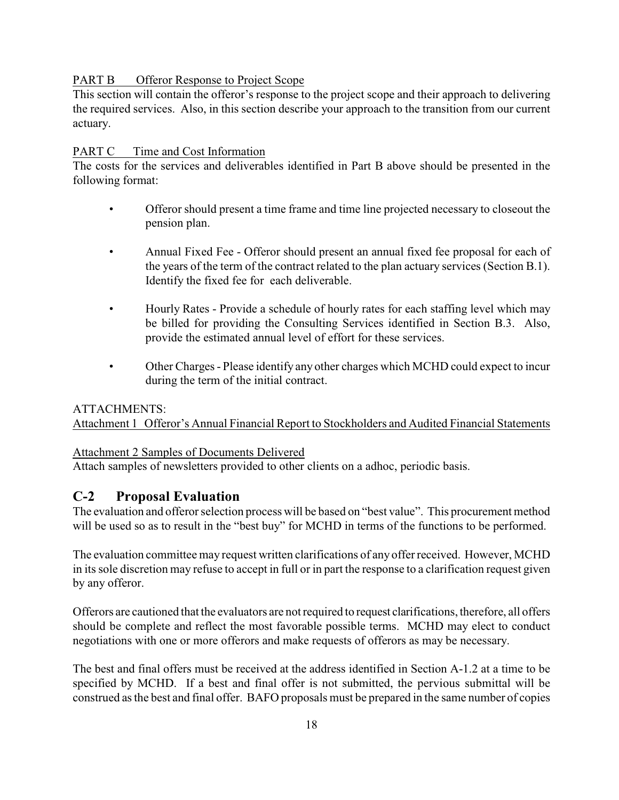#### PART B Offeror Response to Project Scope

This section will contain the offeror's response to the project scope and their approach to delivering the required services. Also, in this section describe your approach to the transition from our current actuary.

#### PART C Time and Cost Information

The costs for the services and deliverables identified in Part B above should be presented in the following format:

- Offeror should present a time frame and time line projected necessary to closeout the pension plan.
- Annual Fixed Fee Offeror should present an annual fixed fee proposal for each of the years of the term of the contract related to the plan actuary services (Section B.1). Identify the fixed fee for each deliverable.
- Hourly Rates Provide a schedule of hourly rates for each staffing level which may be billed for providing the Consulting Services identified in Section B.3. Also, provide the estimated annual level of effort for these services.
- Other Charges Please identify any other charges which MCHD could expect to incur during the term of the initial contract.

#### ATTACHMENTS:

Attachment 1 Offeror's Annual Financial Report to Stockholders and Audited Financial Statements

#### Attachment 2 Samples of Documents Delivered

Attach samples of newsletters provided to other clients on a adhoc, periodic basis.

### **C-2 Proposal Evaluation**

The evaluation and offeror selection process will be based on "best value". This procurement method will be used so as to result in the "best buy" for MCHD in terms of the functions to be performed.

The evaluation committee may request written clarifications of any offer received. However, MCHD in its sole discretion may refuse to accept in full or in part the response to a clarification request given by any offeror.

Offerors are cautioned that the evaluators are not required to request clarifications, therefore, all offers should be complete and reflect the most favorable possible terms. MCHD may elect to conduct negotiations with one or more offerors and make requests of offerors as may be necessary.

The best and final offers must be received at the address identified in Section A-1.2 at a time to be specified by MCHD. If a best and final offer is not submitted, the pervious submittal will be construed as the best and final offer. BAFO proposals must be prepared in the same number of copies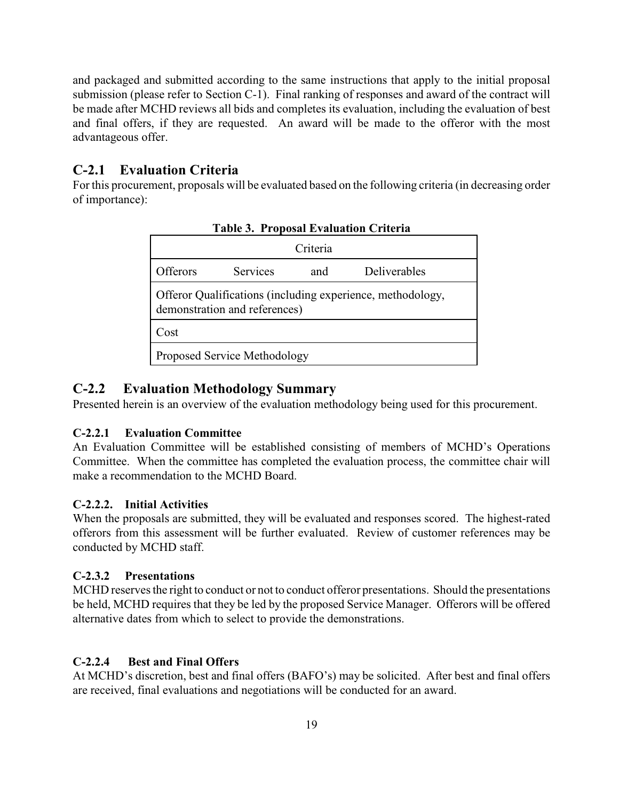and packaged and submitted according to the same instructions that apply to the initial proposal submission (please refer to Section C-1). Final ranking of responses and award of the contract will be made after MCHD reviews all bids and completes its evaluation, including the evaluation of best and final offers, if they are requested. An award will be made to the offeror with the most advantageous offer.

#### **C-2.1 Evaluation Criteria**

For this procurement, proposals will be evaluated based on the following criteria (in decreasing order of importance):

| TO DOME E TRIMMION CINVITA                                                                  |  |  |  |
|---------------------------------------------------------------------------------------------|--|--|--|
| Criteria                                                                                    |  |  |  |
| Services<br>Offerors<br>Deliverables<br>and                                                 |  |  |  |
| Offeror Qualifications (including experience, methodology,<br>demonstration and references) |  |  |  |
| Cost                                                                                        |  |  |  |
| Proposed Service Methodology                                                                |  |  |  |

#### **Table 3. Proposal Evaluation Criteria**

#### **C-2.2 Evaluation Methodology Summary**

Presented herein is an overview of the evaluation methodology being used for this procurement.

#### **C-2.2.1 Evaluation Committee**

An Evaluation Committee will be established consisting of members of MCHD's Operations Committee. When the committee has completed the evaluation process, the committee chair will make a recommendation to the MCHD Board.

#### **C-2.2.2. Initial Activities**

When the proposals are submitted, they will be evaluated and responses scored. The highest-rated offerors from this assessment will be further evaluated. Review of customer references may be conducted by MCHD staff.

#### **C-2.3.2 Presentations**

MCHD reserves the right to conduct or not to conduct offeror presentations. Should the presentations be held, MCHD requires that they be led by the proposed Service Manager. Offerors will be offered alternative dates from which to select to provide the demonstrations.

#### **C-2.2.4 Best and Final Offers**

At MCHD's discretion, best and final offers (BAFO's) may be solicited. After best and final offers are received, final evaluations and negotiations will be conducted for an award.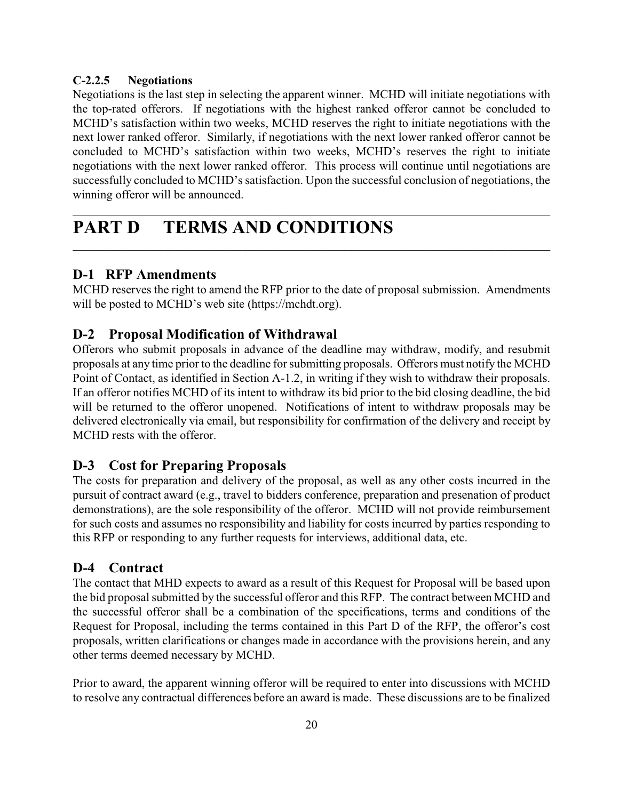#### **C-2.2.5 Negotiations**

Negotiations is the last step in selecting the apparent winner. MCHD will initiate negotiations with the top-rated offerors. If negotiations with the highest ranked offeror cannot be concluded to MCHD's satisfaction within two weeks, MCHD reserves the right to initiate negotiations with the next lower ranked offeror. Similarly, if negotiations with the next lower ranked offeror cannot be concluded to MCHD's satisfaction within two weeks, MCHD's reserves the right to initiate negotiations with the next lower ranked offeror. This process will continue until negotiations are successfully concluded to MCHD's satisfaction. Upon the successful conclusion of negotiations, the winning offeror will be announced.

\_\_\_\_\_\_\_\_\_\_\_\_\_\_\_\_\_\_\_\_\_\_\_\_\_\_\_\_\_\_\_\_\_\_\_\_\_\_\_\_\_\_\_\_\_\_\_\_\_\_\_\_\_\_\_\_\_\_\_\_\_\_\_\_\_\_\_\_\_\_\_\_\_\_\_\_\_\_\_\_

\_\_\_\_\_\_\_\_\_\_\_\_\_\_\_\_\_\_\_\_\_\_\_\_\_\_\_\_\_\_\_\_\_\_\_\_\_\_\_\_\_\_\_\_\_\_\_\_\_\_\_\_\_\_\_\_\_\_\_\_\_\_\_\_\_\_\_\_\_\_\_\_\_\_\_\_\_\_\_

# **PART D TERMS AND CONDITIONS**

### **D-1 RFP Amendments**

MCHD reserves the right to amend the RFP prior to the date of proposal submission. Amendments will be posted to MCHD's web site (https://mchdt.org).

### **D-2 Proposal Modification of Withdrawal**

Offerors who submit proposals in advance of the deadline may withdraw, modify, and resubmit proposals at any time prior to the deadline for submitting proposals. Offerors must notify the MCHD Point of Contact, as identified in Section A-1.2, in writing if they wish to withdraw their proposals. If an offeror notifies MCHD of its intent to withdraw its bid prior to the bid closing deadline, the bid will be returned to the offeror unopened. Notifications of intent to withdraw proposals may be delivered electronically via email, but responsibility for confirmation of the delivery and receipt by MCHD rests with the offeror.

### **D-3 Cost for Preparing Proposals**

The costs for preparation and delivery of the proposal, as well as any other costs incurred in the pursuit of contract award (e.g., travel to bidders conference, preparation and presenation of product demonstrations), are the sole responsibility of the offeror. MCHD will not provide reimbursement for such costs and assumes no responsibility and liability for costs incurred by parties responding to this RFP or responding to any further requests for interviews, additional data, etc.

### **D-4 Contract**

The contact that MHD expects to award as a result of this Request for Proposal will be based upon the bid proposal submitted by the successful offeror and this RFP. The contract between MCHD and the successful offeror shall be a combination of the specifications, terms and conditions of the Request for Proposal, including the terms contained in this Part D of the RFP, the offeror's cost proposals, written clarifications or changes made in accordance with the provisions herein, and any other terms deemed necessary by MCHD.

Prior to award, the apparent winning offeror will be required to enter into discussions with MCHD to resolve any contractual differences before an award is made. These discussions are to be finalized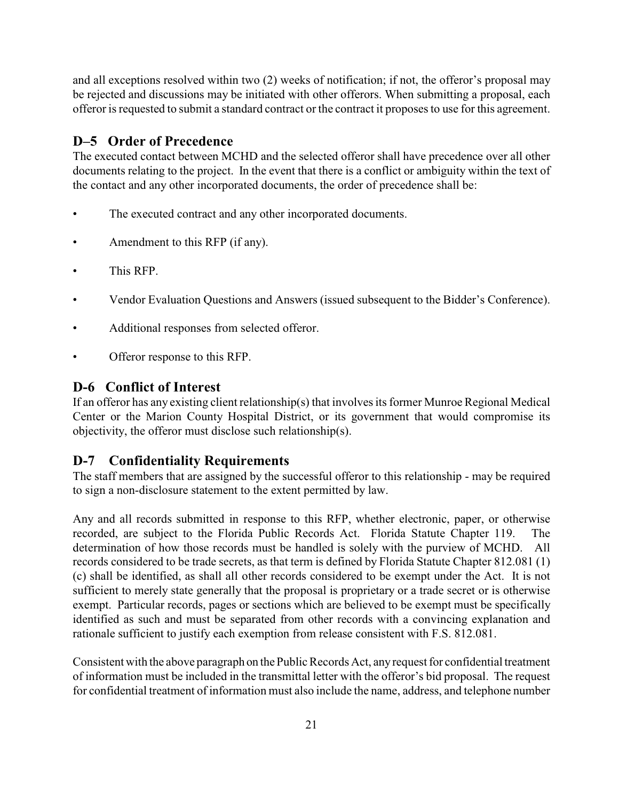and all exceptions resolved within two (2) weeks of notification; if not, the offeror's proposal may be rejected and discussions may be initiated with other offerors. When submitting a proposal, each offeror is requested to submit a standard contract or the contract it proposes to use for this agreement.

### **D–5 Order of Precedence**

The executed contact between MCHD and the selected offeror shall have precedence over all other documents relating to the project. In the event that there is a conflict or ambiguity within the text of the contact and any other incorporated documents, the order of precedence shall be:

- The executed contract and any other incorporated documents.
- Amendment to this RFP (if any).
- This RFP.
- Vendor Evaluation Questions and Answers (issued subsequent to the Bidder's Conference).
- Additional responses from selected offeror.
- Offeror response to this RFP.

### **D-6 Conflict of Interest**

If an offeror has any existing client relationship(s) that involves its former Munroe Regional Medical Center or the Marion County Hospital District, or its government that would compromise its objectivity, the offeror must disclose such relationship(s).

### **D-7 Confidentiality Requirements**

The staff members that are assigned by the successful offeror to this relationship - may be required to sign a non-disclosure statement to the extent permitted by law.

Any and all records submitted in response to this RFP, whether electronic, paper, or otherwise recorded, are subject to the Florida Public Records Act. Florida Statute Chapter 119. The determination of how those records must be handled is solely with the purview of MCHD. All records considered to be trade secrets, as that term is defined by Florida Statute Chapter 812.081 (1) (c) shall be identified, as shall all other records considered to be exempt under the Act. It is not sufficient to merely state generally that the proposal is proprietary or a trade secret or is otherwise exempt. Particular records, pages or sections which are believed to be exempt must be specifically identified as such and must be separated from other records with a convincing explanation and rationale sufficient to justify each exemption from release consistent with F.S. 812.081.

Consistent with the above paragraph on the Public Records Act, any request for confidential treatment of information must be included in the transmittal letter with the offeror's bid proposal. The request for confidential treatment of information must also include the name, address, and telephone number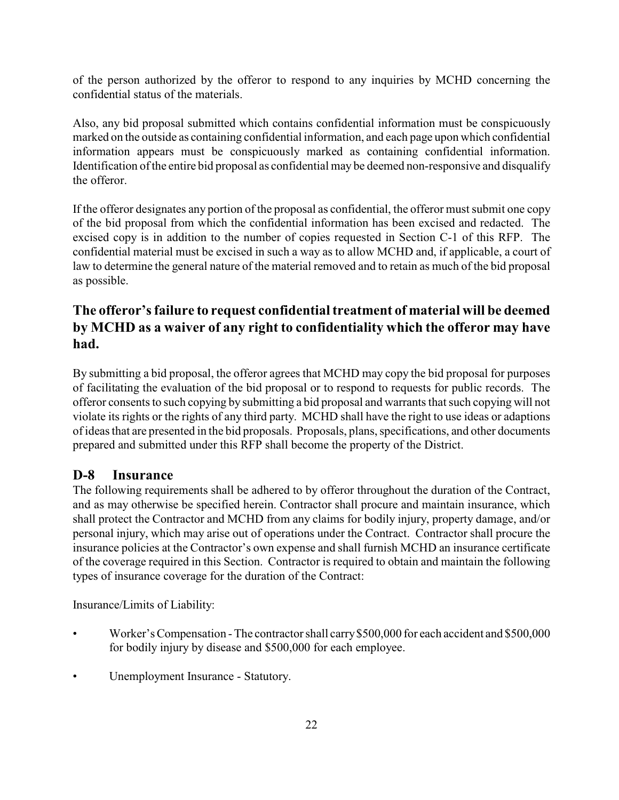of the person authorized by the offeror to respond to any inquiries by MCHD concerning the confidential status of the materials.

Also, any bid proposal submitted which contains confidential information must be conspicuously marked on the outside as containing confidential information, and each page upon which confidential information appears must be conspicuously marked as containing confidential information. Identification ofthe entire bid proposal as confidential may be deemed non-responsive and disqualify the offeror.

If the offeror designates any portion of the proposal as confidential, the offeror must submit one copy of the bid proposal from which the confidential information has been excised and redacted. The excised copy is in addition to the number of copies requested in Section C-1 of this RFP. The confidential material must be excised in such a way as to allow MCHD and, if applicable, a court of law to determine the general nature of the material removed and to retain as much of the bid proposal as possible.

# **The offeror's failure to request confidential treatment of material will be deemed by MCHD as a waiver of any right to confidentiality which the offeror may have had.**

By submitting a bid proposal, the offeror agrees that MCHD may copy the bid proposal for purposes of facilitating the evaluation of the bid proposal or to respond to requests for public records. The offeror consents to such copying by submitting a bid proposal and warrants that such copying will not violate its rights or the rights of any third party. MCHD shall have the right to use ideas or adaptions of ideas that are presented in the bid proposals. Proposals, plans, specifications, and other documents prepared and submitted under this RFP shall become the property of the District.

### **D-8 Insurance**

The following requirements shall be adhered to by offeror throughout the duration of the Contract, and as may otherwise be specified herein. Contractor shall procure and maintain insurance, which shall protect the Contractor and MCHD from any claims for bodily injury, property damage, and/or personal injury, which may arise out of operations under the Contract. Contractor shall procure the insurance policies at the Contractor's own expense and shall furnish MCHD an insurance certificate of the coverage required in this Section. Contractor is required to obtain and maintain the following types of insurance coverage for the duration of the Contract:

Insurance/Limits of Liability:

- Worker's Compensation The contractor shall carry \$500,000 for each accident and \$500,000 for bodily injury by disease and \$500,000 for each employee.
- Unemployment Insurance Statutory.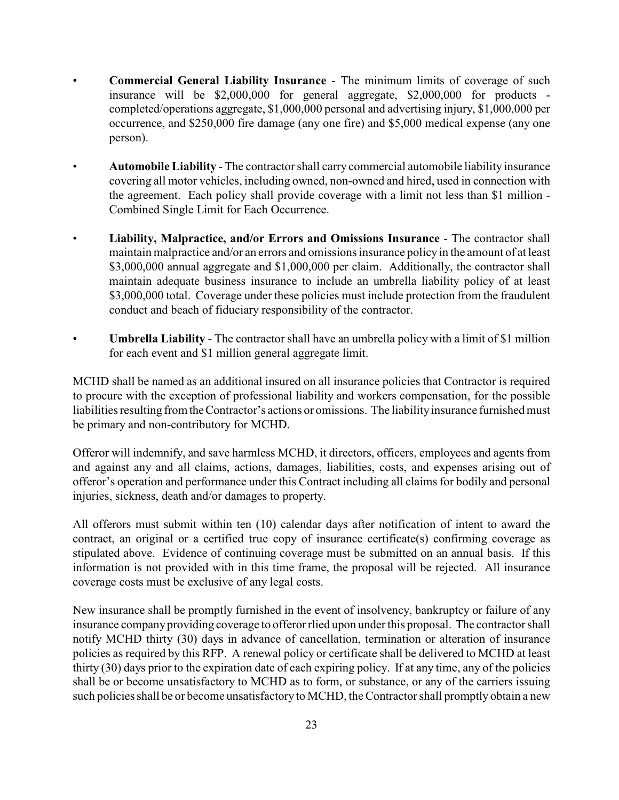- **Commercial General Liability Insurance**  The minimum limits of coverage of such insurance will be \$2,000,000 for general aggregate, \$2,000,000 for products completed/operations aggregate, \$1,000,000 personal and advertising injury, \$1,000,000 per occurrence, and \$250,000 fire damage (any one fire) and \$5,000 medical expense (any one person).
- **Automobile Liability**  The contractor shall carry commercial automobile liability insurance covering all motor vehicles, including owned, non-owned and hired, used in connection with the agreement. Each policy shall provide coverage with a limit not less than \$1 million - Combined Single Limit for Each Occurrence.
- **Liability, Malpractice, and/or Errors and Omissions Insurance**  The contractor shall maintain malpractice and/or an errors and omissions insurance policy in the amount of at least \$3,000,000 annual aggregate and \$1,000,000 per claim. Additionally, the contractor shall maintain adequate business insurance to include an umbrella liability policy of at least \$3,000,000 total. Coverage under these policies must include protection from the fraudulent conduct and beach of fiduciary responsibility of the contractor.
- **Umbrella Liability**  The contractor shall have an umbrella policy with a limit of \$1 million for each event and \$1 million general aggregate limit.

MCHD shall be named as an additional insured on all insurance policies that Contractor is required to procure with the exception of professional liability and workers compensation, for the possible liabilities resulting from the Contractor's actions or omissions. The liability insurance furnished must be primary and non-contributory for MCHD.

Offeror will indemnify, and save harmless MCHD, it directors, officers, employees and agents from and against any and all claims, actions, damages, liabilities, costs, and expenses arising out of offeror's operation and performance under this Contract including all claims for bodily and personal injuries, sickness, death and/or damages to property.

All offerors must submit within ten (10) calendar days after notification of intent to award the contract, an original or a certified true copy of insurance certificate(s) confirming coverage as stipulated above. Evidence of continuing coverage must be submitted on an annual basis. If this information is not provided with in this time frame, the proposal will be rejected. All insurance coverage costs must be exclusive of any legal costs.

New insurance shall be promptly furnished in the event of insolvency, bankruptcy or failure of any insurance company providing coverage to offeror rlied upon under this proposal. The contractor shall notify MCHD thirty (30) days in advance of cancellation, termination or alteration of insurance policies as required by this RFP. A renewal policy or certificate shall be delivered to MCHD at least thirty (30) days prior to the expiration date of each expiring policy. If at any time, any of the policies shall be or become unsatisfactory to MCHD as to form, or substance, or any of the carriers issuing such policies shall be or become unsatisfactory to MCHD, the Contractor shall promptly obtain a new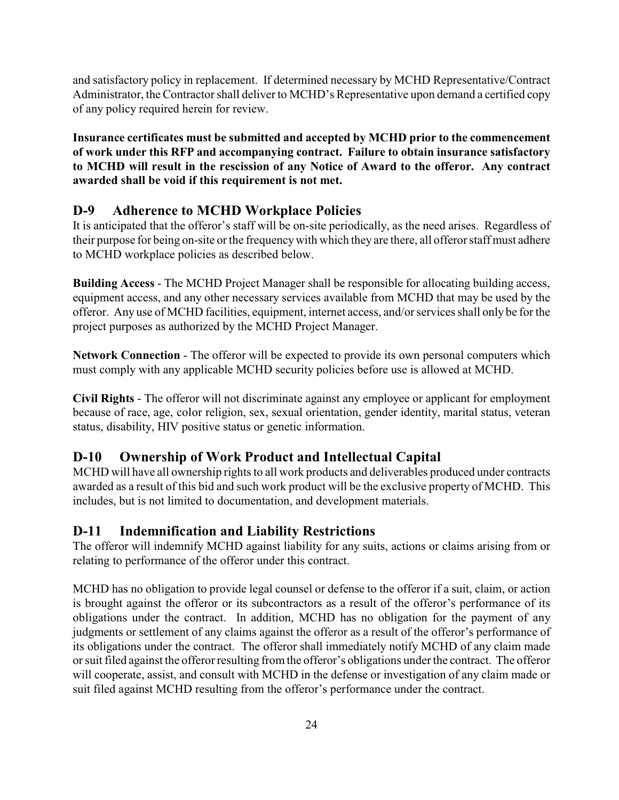and satisfactory policy in replacement. If determined necessary by MCHD Representative/Contract Administrator, the Contractor shall deliver to MCHD's Representative upon demand a certified copy of any policy required herein for review.

**Insurance certificates must be submitted and accepted by MCHD prior to the commencement of work under this RFP and accompanying contract. Failure to obtain insurance satisfactory to MCHD will result in the rescission of any Notice of Award to the offeror. Any contract awarded shall be void if this requirement is not met.**

### **D-9 Adherence to MCHD Workplace Policies**

It is anticipated that the offeror's staff will be on-site periodically, as the need arises. Regardless of their purpose for being on-site or the frequencywith which they are there, all offeror staff must adhere to MCHD workplace policies as described below.

**Building Access** - The MCHD Project Manager shall be responsible for allocating building access, equipment access, and any other necessary services available from MCHD that may be used by the offeror. Any use of MCHD facilities, equipment, internet access, and/or services shall only be for the project purposes as authorized by the MCHD Project Manager.

**Network Connection** - The offeror will be expected to provide its own personal computers which must comply with any applicable MCHD security policies before use is allowed at MCHD.

**Civil Rights** - The offeror will not discriminate against any employee or applicant for employment because of race, age, color religion, sex, sexual orientation, gender identity, marital status, veteran status, disability, HIV positive status or genetic information.

# **D-10 Ownership of Work Product and Intellectual Capital**

MCHD will have all ownership rights to all work products and deliverables produced under contracts awarded as a result of this bid and such work product will be the exclusive property of MCHD. This includes, but is not limited to documentation, and development materials.

### **D-11 Indemnification and Liability Restrictions**

The offeror will indemnify MCHD against liability for any suits, actions or claims arising from or relating to performance of the offeror under this contract.

MCHD has no obligation to provide legal counsel or defense to the offeror if a suit, claim, or action is brought against the offeror or its subcontractors as a result of the offeror's performance of its obligations under the contract. In addition, MCHD has no obligation for the payment of any judgments or settlement of any claims against the offeror as a result of the offeror's performance of its obligations under the contract. The offeror shall immediately notify MCHD of any claim made or suit filed against the offeror resulting from the offeror's obligations under the contract. The offeror will cooperate, assist, and consult with MCHD in the defense or investigation of any claim made or suit filed against MCHD resulting from the offeror's performance under the contract.